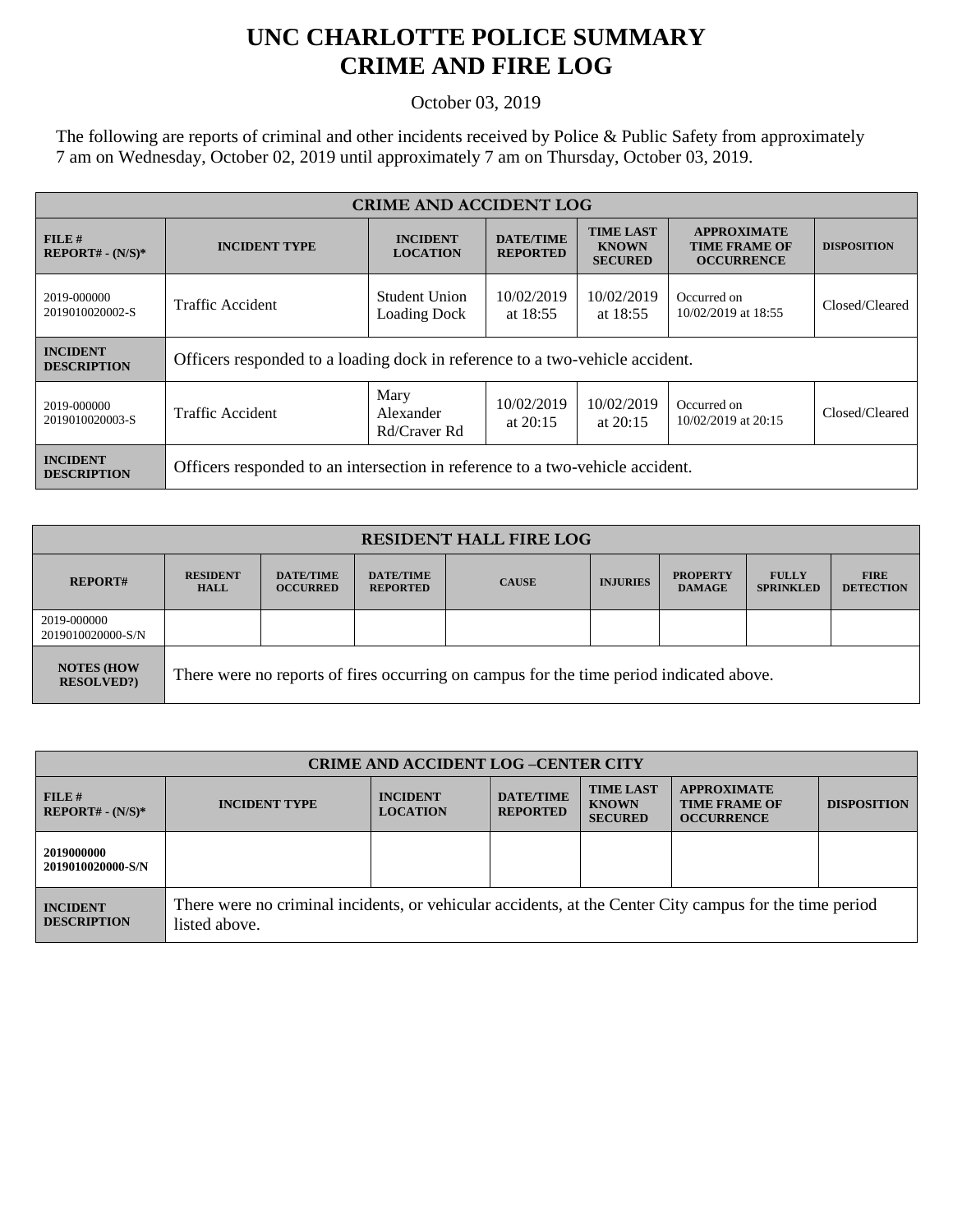## **UNC CHARLOTTE POLICE SUMMARY CRIME AND FIRE LOG**

October 03, 2019

The following are reports of criminal and other incidents received by Police & Public Safety from approximately 7 am on Wednesday, October 02, 2019 until approximately 7 am on Thursday, October 03, 2019.

| <b>CRIME AND ACCIDENT LOG</b>         |                                                                               |                                      |                                     |                                                    |                                                                 |                    |  |
|---------------------------------------|-------------------------------------------------------------------------------|--------------------------------------|-------------------------------------|----------------------------------------------------|-----------------------------------------------------------------|--------------------|--|
| FILE#<br>$REPORT# - (N/S)*$           | <b>INCIDENT TYPE</b>                                                          | <b>INCIDENT</b><br><b>LOCATION</b>   | <b>DATE/TIME</b><br><b>REPORTED</b> | <b>TIME LAST</b><br><b>KNOWN</b><br><b>SECURED</b> | <b>APPROXIMATE</b><br><b>TIME FRAME OF</b><br><b>OCCURRENCE</b> | <b>DISPOSITION</b> |  |
| 2019-000000<br>2019010020002-S        | <b>Traffic Accident</b>                                                       | Student Union<br><b>Loading Dock</b> | 10/02/2019<br>at $18:55$            | 10/02/2019<br>at $18:55$                           | Occurred on<br>10/02/2019 at 18:55                              | Closed/Cleared     |  |
| <b>INCIDENT</b><br><b>DESCRIPTION</b> | Officers responded to a loading dock in reference to a two-vehicle accident.  |                                      |                                     |                                                    |                                                                 |                    |  |
| 2019-000000<br>2019010020003-S        | Traffic Accident                                                              | Mary<br>Alexander<br>Rd/Craver Rd    | 10/02/2019<br>at $20:15$            | 10/02/2019<br>at $20:15$                           | Occurred on<br>10/02/2019 at 20:15                              | Closed/Cleared     |  |
| <b>INCIDENT</b><br><b>DESCRIPTION</b> | Officers responded to an intersection in reference to a two-vehicle accident. |                                      |                                     |                                                    |                                                                 |                    |  |

| <b>RESIDENT HALL FIRE LOG</b>         |                                                                                         |                                     |                                     |              |                 |                                  |                                  |                                 |
|---------------------------------------|-----------------------------------------------------------------------------------------|-------------------------------------|-------------------------------------|--------------|-----------------|----------------------------------|----------------------------------|---------------------------------|
| <b>REPORT#</b>                        | <b>RESIDENT</b><br><b>HALL</b>                                                          | <b>DATE/TIME</b><br><b>OCCURRED</b> | <b>DATE/TIME</b><br><b>REPORTED</b> | <b>CAUSE</b> | <b>INJURIES</b> | <b>PROPERTY</b><br><b>DAMAGE</b> | <b>FULLY</b><br><b>SPRINKLED</b> | <b>FIRE</b><br><b>DETECTION</b> |
| 2019-000000<br>2019010020000-S/N      |                                                                                         |                                     |                                     |              |                 |                                  |                                  |                                 |
| <b>NOTES (HOW</b><br><b>RESOLVED?</b> | There were no reports of fires occurring on campus for the time period indicated above. |                                     |                                     |              |                 |                                  |                                  |                                 |

| <b>CRIME AND ACCIDENT LOG-CENTER CITY</b> |                                                                                                                          |                                    |                                     |                                                    |                                                                 |                    |
|-------------------------------------------|--------------------------------------------------------------------------------------------------------------------------|------------------------------------|-------------------------------------|----------------------------------------------------|-----------------------------------------------------------------|--------------------|
| FILE#<br>$REPORT# - (N/S)*$               | <b>INCIDENT TYPE</b>                                                                                                     | <b>INCIDENT</b><br><b>LOCATION</b> | <b>DATE/TIME</b><br><b>REPORTED</b> | <b>TIME LAST</b><br><b>KNOWN</b><br><b>SECURED</b> | <b>APPROXIMATE</b><br><b>TIME FRAME OF</b><br><b>OCCURRENCE</b> | <b>DISPOSITION</b> |
| 2019000000<br>2019010020000-S/N           |                                                                                                                          |                                    |                                     |                                                    |                                                                 |                    |
| <b>INCIDENT</b><br><b>DESCRIPTION</b>     | There were no criminal incidents, or vehicular accidents, at the Center City campus for the time period<br>listed above. |                                    |                                     |                                                    |                                                                 |                    |